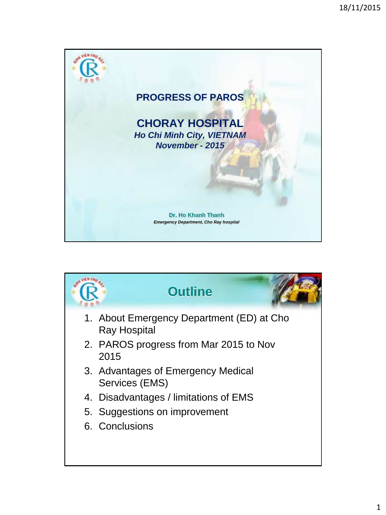

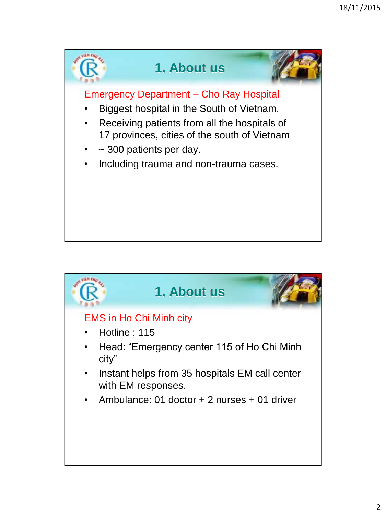

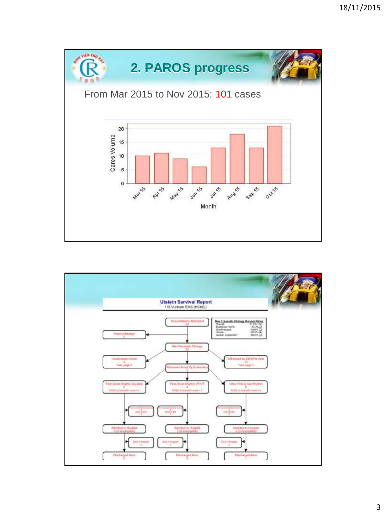

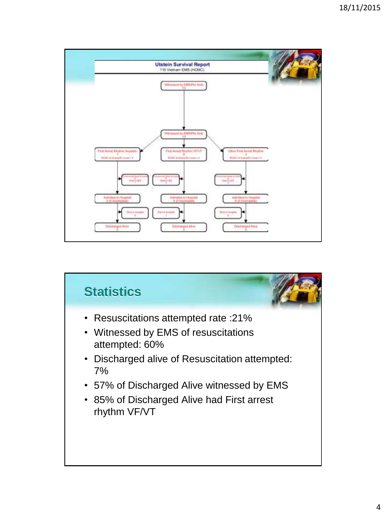

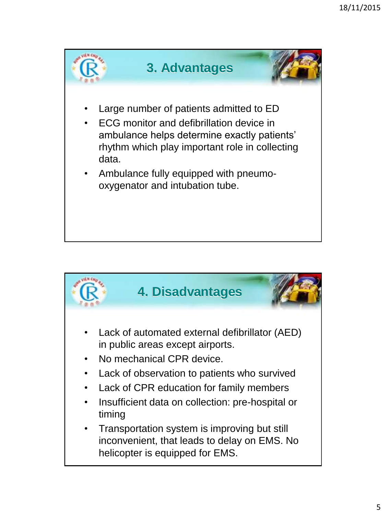

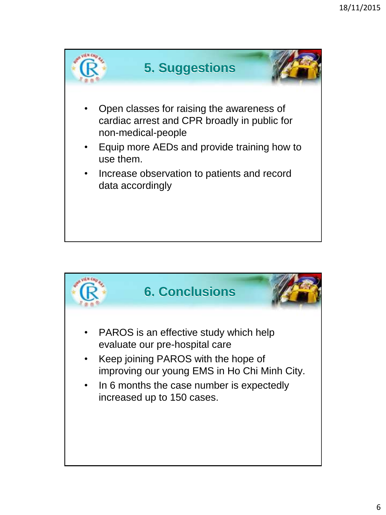